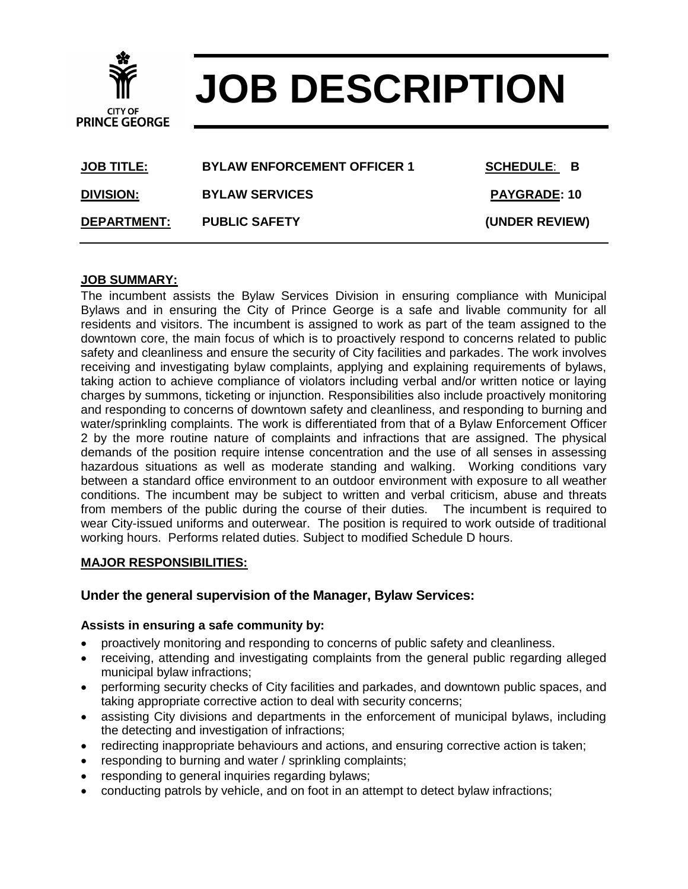# **JOB DESCRIPTION**

| <b>JOB TITLE:</b>  | <b>BYLAW ENFORCEMENT OFFICER 1</b> | <b>SCHEDULE: B</b>  |
|--------------------|------------------------------------|---------------------|
| <b>DIVISION:</b>   | <b>BYLAW SERVICES</b>              | <b>PAYGRADE: 10</b> |
| <b>DEPARTMENT:</b> | <b>PUBLIC SAFETY</b>               | (UNDER REVIEW)      |

#### **JOB SUMMARY:**

**CITY OF PRINCE GEORGE** 

The incumbent assists the Bylaw Services Division in ensuring compliance with Municipal Bylaws and in ensuring the City of Prince George is a safe and livable community for all residents and visitors. The incumbent is assigned to work as part of the team assigned to the downtown core, the main focus of which is to proactively respond to concerns related to public safety and cleanliness and ensure the security of City facilities and parkades. The work involves receiving and investigating bylaw complaints, applying and explaining requirements of bylaws, taking action to achieve compliance of violators including verbal and/or written notice or laying charges by summons, ticketing or injunction. Responsibilities also include proactively monitoring and responding to concerns of downtown safety and cleanliness, and responding to burning and water/sprinkling complaints. The work is differentiated from that of a Bylaw Enforcement Officer 2 by the more routine nature of complaints and infractions that are assigned. The physical demands of the position require intense concentration and the use of all senses in assessing hazardous situations as well as moderate standing and walking. Working conditions vary between a standard office environment to an outdoor environment with exposure to all weather conditions. The incumbent may be subject to written and verbal criticism, abuse and threats from members of the public during the course of their duties. The incumbent is required to wear City-issued uniforms and outerwear. The position is required to work outside of traditional working hours. Performs related duties. Subject to modified Schedule D hours.

#### **MAJOR RESPONSIBILITIES:**

## **Under the general supervision of the Manager, Bylaw Services:**

#### **Assists in ensuring a safe community by:**

- proactively monitoring and responding to concerns of public safety and cleanliness.
- receiving, attending and investigating complaints from the general public regarding alleged municipal bylaw infractions;
- performing security checks of City facilities and parkades, and downtown public spaces, and taking appropriate corrective action to deal with security concerns;
- assisting City divisions and departments in the enforcement of municipal bylaws, including the detecting and investigation of infractions;
- redirecting inappropriate behaviours and actions, and ensuring corrective action is taken;
- responding to burning and water / sprinkling complaints;
- responding to general inquiries regarding bylaws;
- conducting patrols by vehicle, and on foot in an attempt to detect bylaw infractions;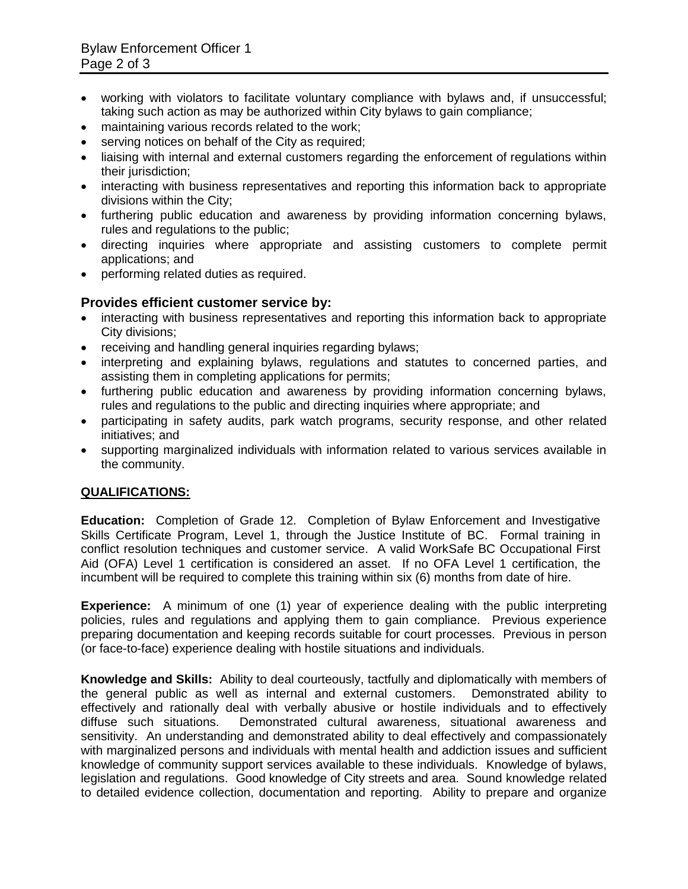- working with violators to facilitate voluntary compliance with bylaws and, if unsuccessful; taking such action as may be authorized within City bylaws to gain compliance;
- maintaining various records related to the work;
- serving notices on behalf of the City as required;
- liaising with internal and external customers regarding the enforcement of regulations within their jurisdiction;
- interacting with business representatives and reporting this information back to appropriate divisions within the City;
- furthering public education and awareness by providing information concerning bylaws, rules and regulations to the public;
- directing inquiries where appropriate and assisting customers to complete permit applications; and
- performing related duties as required.

## **Provides efficient customer service by:**

- interacting with business representatives and reporting this information back to appropriate City divisions;
- receiving and handling general inquiries regarding bylaws;
- interpreting and explaining bylaws, regulations and statutes to concerned parties, and assisting them in completing applications for permits;
- furthering public education and awareness by providing information concerning bylaws, rules and regulations to the public and directing inquiries where appropriate; and
- participating in safety audits, park watch programs, security response, and other related initiatives; and
- supporting marginalized individuals with information related to various services available in the community.

## **QUALIFICATIONS:**

**Education:** Completion of Grade 12. Completion of Bylaw Enforcement and Investigative Skills Certificate Program, Level 1, through the Justice Institute of BC. Formal training in conflict resolution techniques and customer service. A valid WorkSafe BC Occupational First Aid (OFA) Level 1 certification is considered an asset. If no OFA Level 1 certification, the incumbent will be required to complete this training within six (6) months from date of hire.

**Experience:** A minimum of one (1) year of experience dealing with the public interpreting policies, rules and regulations and applying them to gain compliance. Previous experience preparing documentation and keeping records suitable for court processes. Previous in person (or face-to-face) experience dealing with hostile situations and individuals.

**Knowledge and Skills:** Ability to deal courteously, tactfully and diplomatically with members of the general public as well as internal and external customers. Demonstrated ability to effectively and rationally deal with verbally abusive or hostile individuals and to effectively diffuse such situations. Demonstrated cultural awareness, situational awareness and sensitivity. An understanding and demonstrated ability to deal effectively and compassionately with marginalized persons and individuals with mental health and addiction issues and sufficient knowledge of community support services available to these individuals. Knowledge of bylaws, legislation and regulations. Good knowledge of City streets and area. Sound knowledge related to detailed evidence collection, documentation and reporting. Ability to prepare and organize